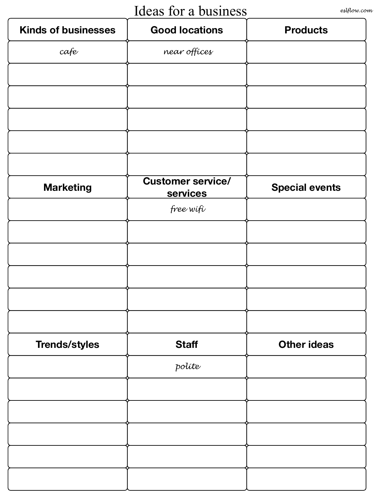## Ideas for a business *eslflow.com*

| <b>Kinds of businesses</b> | <b>Good locations</b>                | <b>Products</b>       |
|----------------------------|--------------------------------------|-----------------------|
| cafe                       | near offices                         |                       |
|                            |                                      |                       |
|                            |                                      |                       |
|                            |                                      |                       |
|                            |                                      |                       |
|                            |                                      |                       |
| <b>Marketing</b>           | <b>Customer service/</b><br>services | <b>Special events</b> |
|                            | free wifi                            |                       |
|                            |                                      |                       |
|                            |                                      |                       |
|                            |                                      |                       |
|                            |                                      |                       |
|                            |                                      |                       |
| <b>Trends/styles</b>       | <b>Staff</b>                         | <b>Other ideas</b>    |
|                            | políte                               |                       |
|                            |                                      |                       |
|                            |                                      |                       |
|                            |                                      |                       |
|                            |                                      |                       |
|                            |                                      |                       |
|                            |                                      |                       |